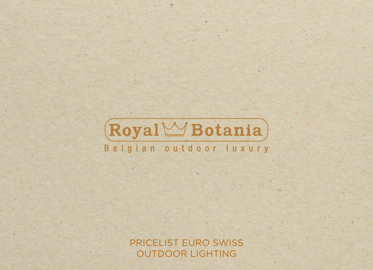

PRICELIST EURO SWISS OUTDOOR LIGHTING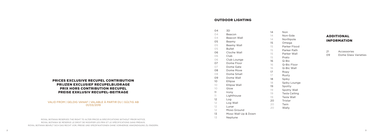### PRICES EXCLUSIVE RECUPEL CONTRIBUTION PRIJZEN EXCLUSIEF RECUPELBIJDRAGE PRIX HORS CONTRIBUTION RECUPEL PREISE EXKLUSIV RECUPEL-BEITRAGE

VALID FROM | GELDIG VANAF | VALABLE À PARTIR DU | GÜLTIG AB 01/03/2019

### OUTDOOR LIGHTING

| 04              | 3D                  | 14 | Non           |
|-----------------|---------------------|----|---------------|
| 04              | Beacon              | 14 | Non-Side      |
| 04              | Beacon Wall         | 14 | Northpole     |
| 05              | Beamy               | 15 | Omega         |
| 05              | Beamy Wall          | 15 | Parker Flood  |
| 05              | <b>Bullet</b>       | 15 | Parker Path   |
| 06              | Cloche Wall         | 15 | Parker Wall   |
| 06              | Club                | 15 | Prato         |
| 06              | Club Lounge         | 16 | $Q - Bic$     |
| 07              | Dome Floor          | 16 | Q-Bic Floor   |
| 07              | Dome Gate           | 16 | Q-Bic Wall    |
| 08              | Dome Move           | 17 | Ropy          |
| 08              | Dome Small          | 17 | Rusty         |
| 09              | Dome Wall           | 18 | Spiky         |
| 10 <sup>°</sup> | Ellipse             | 18 | Spiky Loung   |
| 10              | <b>Ellipse Wall</b> | 19 | Spotty        |
| 10              | Glow                | 19 | Spotty Wall   |
| 11              | Irony               | 19 | Tesla Ceiling |
| 11              | Lighthouse          | 19 | Tesla Wall    |
| 12              | Log                 | 20 | Tristar       |
| 12              | Log Wall            | 20 | Twin          |
| 12              | Lunar               | 20 | Wally         |
| 12              | Moso Ground         |    |               |
| 13              | Moso Wall Up & Down |    |               |
| 13              | Neptune             |    |               |

# ADDITIONAL INFORMATION

|   |   | bc |  |
|---|---|----|--|
| r |   |    |  |
| ı | Ì |    |  |

| -21 | Accessories          |
|-----|----------------------|
| O.9 | Dome Glass Varieties |

ounge

ROYAL BOTANIA RESERVES THE RIGHT TO ALTER PRICES & SPECIFICATIONS WITHOUT PRIOR NOTICE. ROYAL BOTANIA SE RÉSERVE LE DROIT DE MODIFIER LES PRIX ET LE SPÉCIFICATIONS SANS PRÉAVIS. ROYAL BOTANIA BEHÄLT SICH DAS RECHT VOR, PREISE UND SPEZIFIKATIONEN OHNE VORHERIGE ANKÜNDIGUNG ZU ÄNDERN.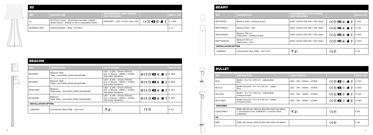| AN.<br>- 24 24 |  |
|----------------|--|
|----------------|--|

 $\overline{\mathcal{A}}$ 

₩

| 3D          |                                                                                         |                                                                                                                                                                                   |                    |
|-------------|-----------------------------------------------------------------------------------------|-----------------------------------------------------------------------------------------------------------------------------------------------------------------------------------|--------------------|
| REF.        | <b>DESCRIPTION</b>                                                                      | <b>RECOMMENDED LIGHT SOURCE</b><br>(NOT INCLUDED)                                                                                                                                 | <b>EUR ex. VAT</b> |
| 3D          | 3D Floor Lamp - Aluminium powder coated<br>white frame - Shade in 3D in washable Fabric | 230V/E27 - LED / FLUO max. 11W $\begin{bmatrix} \in \mathbb{R} \\ \infty \end{bmatrix}$ $\begin{bmatrix} 1 \\ 1 \end{bmatrix}$ $\begin{bmatrix} 4 \\ 2 \end{bmatrix}$ $\in$ 1.185 |                    |
| 033DBALLAST | Granite Ballast - 8Kg - Ø 40cm                                                          |                                                                                                                                                                                   | € 95               |

| <b>BEACON</b>              |                                                 |                                                                                     |                                                                                                                        |                    |  |
|----------------------------|-------------------------------------------------|-------------------------------------------------------------------------------------|------------------------------------------------------------------------------------------------------------------------|--------------------|--|
| REF.                       | <b>DESCRIPTION</b>                              | <b>LIGHT SOURCE</b>                                                                 |                                                                                                                        | <b>EUR ex. VAT</b> |  |
| <b>BCNWW</b>               | Beacon Wall<br>Teak + porcelain white lampshade | LED - 2,2W - Driver 250mA<br>incl. in fixture - 390 lm / 2700 K<br>100-240V 50/60Hz | $\bigcirc$ CE $\blacksquare$ $\oplus$ $\blacksquare$ $\blacksquare$                                                    | € 380              |  |
| <b>BCNWB</b>               | Beacon Wall<br>Teak + porcelain black lampshade | LED - 2,2W - Driver 250mA<br>incl. in fixture - 390lm / 2700K<br>100-240V 50/60Hz   | $\bigcirc$ ( $\in$ $\blacksquare$ $\oplus$ $\blacksquare$ $\blacksquare$ $\blacksquare$                                | € 380              |  |
| BCN140W                    | Beacon<br>Teak pole + porcelain white lampshade | LED - 2,2W - Driver 250mA<br>incl. in fixture - 390lm / 2700K<br>100-240V 50/60Hz   | $\bigcirc$ C $\bigcirc$ FG $\bigcirc$ $\bigcirc$ $\bigcirc$ $\bigcirc$ $\bigcirc$ $\bigcirc$ $\bigcirc$ $\bigcirc$ 555 |                    |  |
| BCN140B                    | Beacon<br>Teak pole + porcelain black lampshade | LED - 2,2W - Driver 250mA<br>incl. in fixture - 390lm / 2700K<br>100-240V 50/60Hz   | $\bigcirc$ CE $\blacksquare$ $\oplus$ $\blacksquare$ $\blacksquare$                                                    | € 555              |  |
| <b>INSTALLATION OPTION</b> |                                                 |                                                                                     |                                                                                                                        |                    |  |
| <b>JUB5625</b>             | Connection Box IP68 - 3x4 mm <sup>2</sup>       |                                                                                     | $CE$ Fess                                                                                                              | € 35               |  |

| REF.                       | <b>DESCRIPTION</b>                        | <b>RECOMMENDED LIGHT SOURCE</b><br>(NOT INCLUDED) |                                                            | <b>EUR ex. VAT</b> |
|----------------------------|-------------------------------------------|---------------------------------------------------|------------------------------------------------------------|--------------------|
| <b>BMYW220</b>             | Beamy Wall - antique brass                | 230V /GU10-LED 5W / Flat Optic                    | $CE$ <b>M</b> $AC$ $\oplus$ $\rightarrow$ $B$              | € 135              |
| BMYWZ220                   | Beamy Wall - zinc                         | 230V /GU10-LED 5W / Flat Optic                    | $CE$ <b>M</b> $AC$ $\oplus$ $\rightarrow$ $\frac{1}{2}$    | € 135              |
| BMY100220                  | Beamy 100 cm<br>Teak pole + antique brass | 230V /GU10-LED 5W / Flat Optic                    | $CE$ $\blacksquare$ $\oplus$ $\blacksquare$ $\blacksquare$ | € 335              |
| BMY100Z220                 | Beacon 100 cm<br>Teak pole + zinc         | 230V /GU10-LED 5W / Flat Optic                    | $CE$ $\blacksquare$ $\oplus$ $\blacksquare$ $\blacksquare$ | € 335              |
| <b>INSTALLATION OPTION</b> |                                           |                                                   |                                                            |                    |
| <b>JUB5625</b>             | Connection Box IP68 - 3x4 mm <sup>2</sup> |                                                   | $CE$ $Fes$                                                 | € 35               |

| REF.             | <b>DESCRIPTION</b>                                                                              | <b>LIGHT SOURCE</b>      |                                                                        | <b>EUR ex. VAT</b> |
|------------------|-------------------------------------------------------------------------------------------------|--------------------------|------------------------------------------------------------------------|--------------------|
| <b>BLTL</b>      | Bullet - 8 x 13 x 100 cm - adjustable<br>Zinc                                                   | LED - 3W - 500lm - 2700K | $C \in \mathbb{F}$ $\mathbb{R}$ $\mathbb{R}$ $\mathbb{R}$ $\mathbb{R}$ | € 335              |
| <b>BLTLG</b>     | Bullet Ground - 8 x 13 x 40 cm - spike<br>Zinc                                                  | LED - 3W - 500lm - 2700K | $CE$ <b>Ex</b> $\mathbf{A} \otimes \mathbf{A}$ $\mathbf{B}$            | € 295              |
| <b>BLTLAN</b>    | Bullet - 8 x 13 x 100 cm - adjustable<br>Antique brass                                          | LED - 3W - 500lm - 2700K | $CE$ <b>ES</b> $\mathbf{A} \otimes \mathbf{A}$ $\mathbf{B}$            | € 335              |
| <b>BLTLGAN</b>   | Bullet Ground - 8 x 13 x 40 cm - spike<br>Antique brass                                         | LED - 3W - 500lm - 2700K | $CE$ $\blacksquare$ $\lozenge$ $\blacksquare$ $\blacksquare$           | € 295              |
| <b>REQUIRED</b>  |                                                                                                 |                          |                                                                        |                    |
| <b>LEDCONKIT</b> | IP68 LED Driver 350mA 9W 100-240V 50-60Hz<br>+ Connection box JUB5625 + Junction Box<br>JUB5630 |                          | $C \in \mathbb{F}$                                                     | € 90               |
| <b>OR</b>        |                                                                                                 |                          |                                                                        |                    |
| DRI1             | IP68 LED Driver 350mA 9W 100-240V 50-60Hz                                                       |                          | $C \in \mathbb{F}$                                                     | € 40               |

 $\mathbb{P}$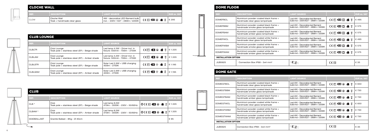7

# CLUB LOUNGE

| <b>CLOCHE WALL</b> |                                            |                                                                           |                                                                           |                    |  |  |
|--------------------|--------------------------------------------|---------------------------------------------------------------------------|---------------------------------------------------------------------------|--------------------|--|--|
| REF.               | <b>DESCRIPTION</b>                         | <b>LIGHT SOURCE</b>                                                       |                                                                           | <b>EUR ex. VAT</b> |  |  |
| <b>CLOW</b>        | Cloche Wall<br>Teak + handmade clear glass | 4W - decorative LED filament bulb  <br>incl. - 230V / E27 - 280lm / 2200K | $C \in \mathbb{F}$ <b>Ad</b> $\oplus$ <b>A</b> $\overline{B}$   $\in$ 295 |                    |  |  |

| <u>STOP FOONSE</u> |                                                               |                                                                   |                                                           |                    |  |  |
|--------------------|---------------------------------------------------------------|-------------------------------------------------------------------|-----------------------------------------------------------|--------------------|--|--|
| REF.               | <b>DESCRIPTION</b>                                            | <b>LIGHT SOURCE</b>                                               |                                                           | <b>EUR ex. VAT</b> |  |  |
| <b>CLBLTR</b>      | Club Lounge<br>Teak pole + stainless steel (EP) - Beige shade | Led lamp 4,3W - Driver incl. in<br>fixture: 500mA - 700lm - 2700K | $CE$ $A \oplus A$ $B$                                     | € 1.335            |  |  |
| <b>CLBLAM</b>      | Club Lounge<br>Teak pole + stainless steel (EP) - Amber shade | Led lamp 4,3W - Driver incl. in<br>fixture: 500mA - 700lm - 2700K | $C \in \mathbb{F}$ $A \oplus A$                           | € 1.335            |  |  |
| <b>CLBLSTR</b>     | Club Lounge<br>Teak pole + stainless steel (EP) - Beige shade | Solar Led 2,6W + USB charging<br>400lm - 2700K                    | $CE = 4$ $\oplus$ $4$ $\overline{8}$                      | € 1.195            |  |  |
| <b>CLBLSAM</b>     | Club Lounge<br>Teak pole + stainless steel (EP) - Amber shade | Solar Led 2,6W + USB charging<br>400 m - 2700 K                   | $CE$ <b>E</b> $\triangle$ $\Diamond$ $\triangle$ <b>E</b> | € 1.195            |  |  |

| REF.                       | <b>DESCRIPTION</b>                                                      | <b>LIGHT SOURCE</b>                                                      |                                                        | <b>EUR ex. VAT</b> |
|----------------------------|-------------------------------------------------------------------------|--------------------------------------------------------------------------|--------------------------------------------------------|--------------------|
| <b>DOMEFBCL</b>            | Aluminium powder coated black frame +<br>handmade clear glass lampshade | Led 4W - Decorative led filament<br>bulb incl.- 230V/E27 - 280lm / 2200K | $C \in \mathbb{R}^n$ and $\Box$ and $\Box$             | € 495              |
| <b>DOMEFBSM</b>            | Aluminium powder coated black frame +<br>handmade smoke glass lampshade | Led 4W - Decorative led filament<br>bulb incl.- 230V/E27 - 280lm / 2200K | $C \in \mathbb{R}^n$ and $\Box$ and $\Box$             | € 575              |
| <b>DOMEFBAM</b>            | Aluminium powder coated black frame +<br>handmade amber glass lampshade | Led 4W - Decorative led filament<br>bulb incl.- 230V/E27 - 280lm / 2200K | $C \in \mathbb{R}^n$ and $\Box$ and $\Box$             | € 575              |
| <b>DOMEFWCL</b>            | Aluminium powder coated white frame +<br>handmade clear glass lampshade | Led 4W - Decorative led filament<br>bulb incl.- 230V/E27 - 280lm / 2200K | $C \in \mathbb{R}^n$ and $\Box$ and $\Box$             | € 495              |
| <b>DOMEFWSM</b>            | Aluminium powder coated white frame +<br>handmade smoke glass lampshade | Led 4W - Decorative led filament<br>bulb incl.- 230V/E27 - 280lm / 2200K | $C \in \mathbb{R}$ <b>AG</b> $\Box$ $\subset$ <b>B</b> | € 575              |
| <b>DOMEFWAM</b>            | Aluminium powder coated white frame +<br>handmade amber glass lampshade | Led 4W - Decorative led filament<br>bulb incl.- 230V/E27 - 280lm / 2200K | $C \in \mathbb{R}^n$ and $\Box$ and $\Box$             | € 575              |
| <b>INSTALLATION OPTION</b> |                                                                         |                                                                          |                                                        |                    |
| <b>JUB5625</b>             | Connection Box IP68 - 3x4 mm <sup>2</sup>                               |                                                                          | $\in \epsilon$ P68                                     | € 35               |

| <b>DOME GATE</b>           |                                                                         |                                                                          |                                                                                      |                    |
|----------------------------|-------------------------------------------------------------------------|--------------------------------------------------------------------------|--------------------------------------------------------------------------------------|--------------------|
| REF.                       | <b>DESCRIPTION</b>                                                      | <b>LIGHT SOURCE</b>                                                      |                                                                                      | <b>EUR ex. VAT</b> |
| <b>DOMEGTBCL</b>           | Aluminium powder coated black frame +<br>handmade clear glass lampshade | Led 4W - Decorative led filament<br>bulb incl.- 230V/E27 - 280lm / 2200K | $CE$ $\blacksquare$ $\oplus$ $\clubsuit$ $\blacksquare$                              | € 650              |
| <b>DOMEGTBSM</b>           | Aluminium powder coated black frame +<br>handmade smoke glass lampshade | Led 4W - Decorative led filament<br>bulb incl.- 230V/E27 - 280lm / 2200K | $CE$ <b>EG</b> $\oplus$ $\oplus$ <b>EG</b>                                           | € 730              |
| <b>DOMEGTBAM</b>           | Aluminium powder coated black frame +<br>handmade amber glass lampshade | Led 4W - Decorative led filament<br>bulb incl.- 230V/E27 - 280lm / 2200K | $CE$ <b>EG</b> $\oplus$ $\oplus$ <b>EG</b>                                           | € 730              |
| <b>DOMEGTWCL</b>           | Aluminium powder coated white frame +<br>handmade clear glass lampshade | Led 4W - Decorative led filament<br>bulb incl.- 230V/E27 - 280lm / 2200K | $CE$ $\blacksquare$ $\oplus$ $\clubsuit$ $\blacksquare$                              | € 650              |
| <b>DOMEGTWSM</b>           | Aluminium powder coated white frame +<br>handmade smoke glass lampshade | Led 4W - Decorative led filament<br>bulb incl.- 230V/E27 - 280lm / 2200K | $CE$ $F = 1$                                                                         | € 730              |
| <b>DOMEGTWAM</b>           | Aluminium powder coated white frame +<br>handmade amber glass lampshade | Led 4W - Decorative led filament<br>bulb incl.- 230V/E27 - 280lm / 2200K | $CE$ $PAB$ $CD$ $\oplus$ $\stackrel{\bullet}{\bullet}$ $\stackrel{\bullet}{\bullet}$ | € 730              |
| <b>INSTALLATION OPTION</b> |                                                                         |                                                                          |                                                                                      |                    |
| <b>JUB5625</b>             | Connection Box IP68 - 3x4 mm <sup>2</sup>                               |                                                                          | $\zeta \in \mathbb{F}$ ss                                                            | € 35               |

|  |  | <b>CLUB</b>        |                                                        |                                                 |                                                                                         |                    |
|--|--|--------------------|--------------------------------------------------------|-------------------------------------------------|-----------------------------------------------------------------------------------------|--------------------|
|  |  | REF.               | <b>DESCRIPTION</b>                                     | <b>LIGHT SOURCE</b>                             |                                                                                         | <b>EUR ex. VAT</b> |
|  |  | $CLB*$             | Club<br>Teak pole + stainless steel (EP) - Beige shade | Led lamp 8,5W<br>470lm - 3000K - 230V - 50/60Hz | $\mathbf{O}$ C $\mathbf{E}$ $\mathbf{A} \oplus \mathbf{A}$ $\mathbf{B}$ $\in$ 1.335     |                    |
|  |  | CLBAM <sup>*</sup> | Club<br>Teak pole + stainless steel (EP) - Amber shade | Led lamp 8,5W<br>470lm - 3000K - 230V - 50/60Hz | $\mathbf{O}$ C $\mathbf{E}$ $\mathbf{A}$ $\oplus$ $\mathbf{A}$ $\mathbf{B}$ $\in$ 1.335 |                    |
|  |  | 033DBALLAST        | Granite Ballast - 8Kg - Ø 40cm                         |                                                 |                                                                                         | € 95               |

# DOME FLOOR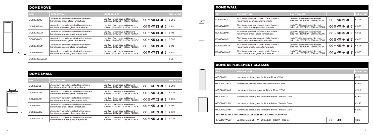त्त्वा

### DOME MOVE

| <b>DOME SMALL</b> |                                                                         |                                                                          |                                               |                    |  |  |  |  |  |
|-------------------|-------------------------------------------------------------------------|--------------------------------------------------------------------------|-----------------------------------------------|--------------------|--|--|--|--|--|
| REF.              | <b>DESCRIPTION</b>                                                      | <b>LIGHT SOURCE</b>                                                      |                                               | <b>EUR ex. VAT</b> |  |  |  |  |  |
| <b>DOMESBCL</b>   | Aluminium powder coated black frame +<br>handmade clear glass lampshade | Led 4W - Decorative led filament<br>bulb incl.- 230V/E27 - 280lm / 2200K | $CE$ <b>EG</b> $AG$ $\Box$ $\clubsuit$ $\Box$ | € 690              |  |  |  |  |  |
| <b>DOMESBSM</b>   | Aluminium powder coated black frame +<br>handmade smoke glass lampshade | Led 4W - Decorative led filament<br>bulb incl.- 230V/E27 - 280lm / 2200K | $C \in \mathbb{R}$ and $\Box$ and $\Box$      | € 770              |  |  |  |  |  |
| <b>DOMESBAM</b>   | Aluminium powder coated black frame +<br>handmade amber glass lampshade | Led 4W - Decorative led filament<br>bulb incl.- 230V/E27 - 280lm / 2200K | $C \in \mathbb{R}$ and $\Box$ and $\Box$      | € 770              |  |  |  |  |  |
| <b>DOMESWCL</b>   | Aluminium powder coated white frame +<br>handmade clear glass lampshade | Led 4W - Decorative led filament<br>bulb incl.- 230V/E27 - 280lm / 2200K | $C \in \mathbb{R}$ and $\Box$ and $\Box$      | € 690              |  |  |  |  |  |

DOMESWSM Aluminium powder coated white frame +

handmade smoke glass lampshade

handmade amber glass lampshade

| REF.                | <b>DESCRIPTION</b>                                                      | <b>LIGHT SOURCE</b>                                                      |                                                  | <b>EUR ex. VAT</b> |
|---------------------|-------------------------------------------------------------------------|--------------------------------------------------------------------------|--------------------------------------------------|--------------------|
| <b>DOMEMBCL</b>     | Aluminium powder coated black frame +<br>handmade clear glass lampshade | Led 4W - Decorative led filament<br>bulb incl.- 230V/E27 - 280lm / 2200K | $CE = AC = 1$                                    | € 635              |
| <b>DOMEMBSM</b>     | Aluminium powder coated black frame +<br>handmade smoke glass lampshade | Led 4W - Decorative led filament<br>bulb incl.- 230V/E27 - 280lm / 2200K | $C \in \mathbb{R}^n$ and $\Box$ and $\Box$       | € 715              |
| <b>DOMEMBAM</b>     | Aluminium powder coated black frame +<br>handmade amber glass lampshade | Led 4W - Decorative led filament<br>bulb incl.- 230V/E27 - 280lm / 2200K | $C \in \mathbb{F}$ and $\Box \subset \mathbb{F}$ | € 715              |
| <b>DOMEMWCL</b>     | Aluminium powder coated white frame +<br>handmade clear glass lampshade | Led 4W - Decorative led filament<br>bulb incl.- 230V/E27 - 280lm / 2200K | $C \in \mathbb{R}$ and $\Box$ and $\Box$         | € 635              |
| <b>DOMEMWSM</b>     | Aluminium powder coated white frame +<br>handmade smoke glass lampshade | Led 4W - Decorative led filament<br>bulb incl.- 230V/E27 - 280lm / 2200K | $C \in \mathbb{F}$ and $\Box$ and $\Box$         | € 715              |
| <b>DOMEMWAM</b>     | Aluminium powder coated white frame +<br>handmade amber glass lampshade | Led 4W - Decorative led filament<br>bulb incl.- 230V/E27 - 280lm / 2200K | $C \in \mathbb{R}^n$ and $\Box$ and $\Box$       | € 715              |
| <b>DOMEMBALLAST</b> |                                                                         |                                                                          |                                                  | € 55               |

Led 4W - Decorative led filament<br>bulb incl.- 230V/E27 - 280lm / 2200K  $\left| \begin{array}{c} \textsf{C} \in \mathbb{F} \textsf{B} \end{array} \right|$  Ged  $\Box$   $\bigoplus$   $\bigoplus$   $\bigoplus$   $\mathbb{F}$ 

 $\mathsf{C}\in\mathbb{F}$ <sup>5</sup>  $\mathsf{C}\subseteq\mathbb{F}$   $\mathbb{F}$   $\mathbb{F}$   $\mathbb{F}$   $\mathbb{F}$   $\mathbb{F}$   $\mathbb{F}$   $\mathbb{F}$  690  $\mathsf{C}\in\mathbb{P}$ 43 **I**  $\mathbb{Z}$  **I**  $\mathbb{Z}$  **I**  $\in$  770

 $\mathsf{C}\in\mathbb{F}_{43}$  **ID4**  $\mathbb{F}_{2}$   $\in$  770

Led 4W - Decorative led filament<br>bulb incl.- 230V/E27 - 280lm / 2200K  $\left| \begin{array}{c} \text{C} \in \mathbb{F} \text{I} \text{ } \end{array} \right|$  Ged  $\left[ \begin{array}{c} \text{C} \end{array} \right]$   $\in$  770

DOMESWAM Aluminium powder coated white frame +

### DOME WALL

 $\overline{\mathbb{F}}$ 

| REE.            | <b>DESCRIPTION</b>                                                      | <b>LIGHT SOURCE</b>                                                      |                                                         | <b>EUR ex. VAT</b> |
|-----------------|-------------------------------------------------------------------------|--------------------------------------------------------------------------|---------------------------------------------------------|--------------------|
| <b>DOMEWBCL</b> | Aluminium powder coated black frame +<br>handmade clear glass lampshade | Led 4W - Decorative led filament<br>bulb incl.- 230V/E27 - 280lm / 2200K | $CE = \Box \oplus \Box$                                 | € 425              |
| <b>DOMEWBSM</b> | Aluminium powder coated black frame +<br>handmade smoke glass lampshade | Led 4W - Decorative led filament<br>bulb incl.- 230V/E27 - 280lm / 2200K | $C \in \mathbb{P}^n$ and $\oplus$ and $\mathbb{R}$      | € 505              |
| <b>DOMEWBAM</b> | Aluminium powder coated black frame +<br>handmade amber glass lampshade | Led 4W - Decorative led filament<br>bulb incl.- 230V/E27 - 280lm / 2200K | $C \in \mathbb{R}^n$ and $\bigoplus$ and $\overline{B}$ | € 505              |
| <b>DOMEWWCL</b> | Aluminium powder coated white frame +<br>handmade clear glass lampshade | Led 4W - Decorative led filament<br>bulb incl.- 230V/E27 - 280lm / 2200K | $C \in \mathbb{P}^n$ and $\oplus$ and $\mathbb{R}$      | € 425              |
| <b>DOMEWWSM</b> | Aluminium powder coated white frame +<br>handmade smoke glass lampshade | Led 4W - Decorative led filament<br>bulb incl.- 230V/E27 - 280lm / 2200K | $CE$ <b>PG</b> $AC$ $\oplus$ $\leftarrow$ $B$           | € 505              |
| <b>DOMEWWAM</b> | Aluminium powder coated white frame +<br>handmade amber glass lampshade | Led 4W - Decorative led filament<br>bulb incl.- 230V/E27 - 280lm / 2200K | $C \in \mathbb{R}^n$ and $\bigoplus$ and $\mathbb{R}$   | € 505              |

| <b>DOME REPLACEMENT GLASSES</b>                          |                                                                                  |       |                    |  |  |  |  |
|----------------------------------------------------------|----------------------------------------------------------------------------------|-------|--------------------|--|--|--|--|
| REF.                                                     | <b>DESCRIPTION</b>                                                               |       | <b>EUR ex. VAT</b> |  |  |  |  |
| 03DOMG01                                                 | Handmade clear glass for Dome Floor / Wall                                       | € 115 |                    |  |  |  |  |
| 03DOMG01SM                                               | Handmade Smoke glass for Dome Floor / Wall<br>€ 195                              |       |                    |  |  |  |  |
| 03DOMG01AM                                               | Handmade Amber glass for Dome Floor / Wall<br>€ 195                              |       |                    |  |  |  |  |
| 03DOMG02                                                 | Handmade clear glass for Dome Move / Small / Gate<br>€ 160                       |       |                    |  |  |  |  |
| 03DOMG02SM                                               | Handmade clear glass for Dome Move / Small / Gate                                |       |                    |  |  |  |  |
| 03DOMG02AM                                               | Handmade clear glass for Dome Move / Small / Gate                                |       |                    |  |  |  |  |
| OPTIONAL BULB FOR DOME COLLECTION, TESLA AND CLOCHE WALL |                                                                                  |       |                    |  |  |  |  |
| LTLED04WE27                                              | $\epsilon$<br>Led filament bulb 4W - 230V/E27 - 2200K - 280 lm<br>$\overline{A}$ |       |                    |  |  |  |  |

ø15 cm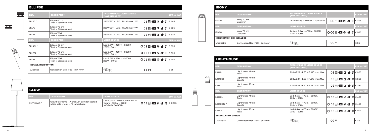### ELLIPSE

| REF.                       | <b>DESCRIPTION</b>                        | <b>RECOMMENDED LIGHT SOURCE</b><br>(NOT INCLUDED) |                                                                                         | <b>EUR ex. VAT</b> |
|----------------------------|-------------------------------------------|---------------------------------------------------|-----------------------------------------------------------------------------------------|--------------------|
| $ELL40*$                   | Ellipse 40 cm<br>Teak + Stainless steel   | 230V/E27 - LED / FLUO max 11W                     | $C \in \mathbb{P}$ ss $A \square \rightarrow \mathbb{R}$                                | € 445              |
| ELL70                      | Ellipse 70 cm<br>Teak + Stainless steel   | 230V/E27 - LED / FLUO max 11W                     | $C \in \mathbb{F}$ $\blacksquare$ $\blacksquare$ $\blacksquare$ $\blacksquare$          | € 525              |
| <b>ELLW</b>                | Ellipse Wall<br>Teak + Stainless steel    | 230V/E27 - LED / FLUO max 11W                     | <b>CEMAD48</b>                                                                          | € 335              |
| REF.                       | <b>DESCRIPTION</b>                        | <b>LIGHT SOURCE</b>                               |                                                                                         | <b>EUR ex. VAT</b> |
| <b>ELL40L *</b>            | Ellipse 40 cm<br>Teak + Stainless steel   | Led 8,5W - 470lm - 3000K<br>230V - 50Hz           | $O$ CEE <b>A</b> $\oplus$ <b>A</b> $\overline{B}$                                       | € 555              |
| ELL70L                     | Ellipse 70 cm<br>Teak + Stainless steel   | Led 8,5W - 470lm - 3000K<br>230V - 50Hz           | $\circledcirc$ ( $\circledcirc$ $\bullet$ $\bullet$ $\circledcirc$ $\circ$              | € 635              |
| <b>ELLWL</b>               | Ellipse Wall<br>Teak + Stainless steel    | Led 8,5W - 470lm - 3000K<br>230V - 50Hz           | $\bigcirc$ ( $\in$ $\blacksquare$ $\oplus$ $\blacksquare$ $\blacksquare$ $\blacksquare$ | €445               |
| <b>INSTALLATION OPTION</b> |                                           |                                                   |                                                                                         |                    |
| <b>JUB5625</b>             | Connection Box IP68 - 3x4 mm <sup>2</sup> |                                                   | $C \in \mathbb{F}$                                                                      | € 35               |

### IRONY

再

**富** 

| <b>DESCRIPTION</b>                        | <b>RECOMMENDED LIGHT SOURCE</b><br>(NOT INCLUDED) |                                                                                                                                                                                                                                                                                                                                                                                                                                                                                      | <b>EUR ex. VAT</b> |
|-------------------------------------------|---------------------------------------------------|--------------------------------------------------------------------------------------------------------------------------------------------------------------------------------------------------------------------------------------------------------------------------------------------------------------------------------------------------------------------------------------------------------------------------------------------------------------------------------------|--------------------|
| Lighthouse 40 cm<br>Teak                  | 230V/E27 - LED / FLUO max 11W                     | $C \in \mathbb{F}$ $\blacksquare$ $\blacksquare$ $\blacksquare$ $\blacksquare$ $\blacksquare$ $\blacksquare$ $\blacksquare$ $\blacksquare$ $\blacksquare$ $\blacksquare$ $\blacksquare$ $\blacksquare$ $\blacksquare$ $\blacksquare$ $\blacksquare$ $\blacksquare$ $\blacksquare$ $\blacksquare$ $\blacksquare$ $\blacksquare$ $\blacksquare$ $\blacksquare$ $\blacksquare$ $\blacksquare$ $\blacksquare$ $\blacksquare$ $\blacksquare$ $\blacksquare$ $\blacksquare$ $\blacksquare$ |                    |
| Lighthouse 40 cm<br>Granite               | 230V/E27 - LED / FLUO max 11W                     | $C \in \mathbb{F}$ $\blacksquare$ $\blacksquare$ $\blacksquare$ $\blacksquare$ $\blacksquare$ $\blacksquare$ $\blacksquare$ $\blacksquare$ $\blacksquare$ $\blacksquare$ $\blacksquare$ $\blacksquare$ $\blacksquare$ $\blacksquare$ $\blacksquare$ $\blacksquare$ $\blacksquare$ $\blacksquare$ $\blacksquare$ $\blacksquare$ $\blacksquare$ $\blacksquare$ $\blacksquare$ $\blacksquare$ $\blacksquare$ $\blacksquare$ $\blacksquare$ $\blacksquare$ $\blacksquare$ $\blacksquare$ |                    |
| Lighthouse 70 cm<br>Teak                  | 230V/E27 - LED / FLUO max 11W                     | $C \in \mathbb{F}$ $\left\{ \mathbf{A} \;   \; \mathbf{C} \right\}$ $\left\{ \;   \; \mathbf{C} \right\}$ 395                                                                                                                                                                                                                                                                                                                                                                        |                    |
| <b>DESCRIPTION</b>                        | <b>LIGHT SOURCE</b>                               |                                                                                                                                                                                                                                                                                                                                                                                                                                                                                      | <b>EUR ex. VAT</b> |
| Lighthouse 40 cm<br>Teak                  | Led 8,5W - 470lm - 3000K<br>230V - 50Hz           | $\bigcirc$ CE $\bigcirc$ A $\bigcirc$ $\bigcirc$ $\bigcirc$ E 430                                                                                                                                                                                                                                                                                                                                                                                                                    |                    |
| Lighthouse 40 cm<br>Granite               | Led 8,5W - 470lm - 3000K<br>230V - 50Hz           | $\bigcirc$ CE $\blacksquare$ $\blacksquare$ $\oplus$ $\blacksquare$ $\blacksquare$ 8 $\in$ 465                                                                                                                                                                                                                                                                                                                                                                                       |                    |
| Lighthouse 70 cm<br>Teak                  | Led 8,5W - 470lm - 3000K<br>230V - 50Hz           | $\circledcirc$ ( $\in$ $\blacksquare$ $\oplus$ $\blacksquare$ $\uparrow$ $\blacksquare$                                                                                                                                                                                                                                                                                                                                                                                              | € 505              |
| ON                                        |                                                   |                                                                                                                                                                                                                                                                                                                                                                                                                                                                                      |                    |
| Connection Box IP68 - 3x4 mm <sup>2</sup> |                                                   | $C \in \mathbb{P}$ <sup>68</sup>                                                                                                                                                                                                                                                                                                                                                                                                                                                     | € 35               |

| <b>INVITE</b>                  |                                           |                                                   |                                                            |                    |  |  |
|--------------------------------|-------------------------------------------|---------------------------------------------------|------------------------------------------------------------|--------------------|--|--|
| REF.                           | <b>DESCRIPTION</b>                        | <b>RECOMMENDED LIGHT SOURCE</b><br>(NOT INCLUDED) |                                                            | <b>EUR ex. VAT</b> |  |  |
| IRN70                          | Irony 70 cm<br>Cast iron                  | 2x Led/Fluo 11W max. - 230V/E27                   | CESCIE <b>A D</b> 4 <b>8</b>                               | € 395              |  |  |
| REF.                           | <b>DESCRIPTION</b>                        | <b>LIGHT SOURCE</b>                               |                                                            | <b>EUR ex. VAT</b> |  |  |
| IRN70L                         | Irony 70 cm<br>Cast iron                  | 2x Led 8,5W - 470lm - 3000K<br>$230V - 50Hz$      | OCE <b>M A</b> $\oplus$ <b>A</b> $\cancel{8}$ <b>E</b> 585 |                    |  |  |
| <b>CONNECTION BOX INCLUDED</b> |                                           |                                                   |                                                            |                    |  |  |
| <b>JUB5625</b>                 | Connection Box IP68 - 3x4 mm <sup>2</sup> |                                                   | $C \in \mathbb{F}$ <sup>1P68</sup>                         | € 35               |  |  |

### **LIGHTHOUSE** REF. RECOMMENDED DESCRIPTION RECOMMENDED LIGHT SOURCE SOURCE SOURCE SOURCE SOURCE SOURCE SOURCE SOURCE SOURCE  $\begin{array}{|l|}\n\hline\n\text{LIG40}\n\end{array}$  Lighthouse 40 cm 量 LIG40ST Lighthouse 40 cm LIG70 Lighthouse 70 cm REF. DESCRIPTION LIGHT SOURCE EUR ex. VAT  $\vert$  Led 8,  $\vert$  230V - $\begin{array}{|c|c|}\n\hline\n\text{LIG40L} & \text{Lighthouse 40 cm}\n\end{array}$ Teak  $\sim$  $\left| \begin{array}{c} \text{Led }8, \\ 230 \text{V} \end{array} \right|$ LIG40STL \* Lighthouse 40 cm  $\left| \begin{array}{c}$  Led 8, 230V -LIG70L Lighthouse 70 cm Teak INSTALLATION OPTION JUB5625 Connection Box IP68 - 3x4 mm<sup>2</sup>  $\begin{array}{|c|c|c|c|c|}\hline \text{S} & \text{1} & \text{1} & \text{1} & \text{1} & \text{1} & \text{1} & \text{1} & \text{1} & \text{1} & \text{1} & \text{1} & \text{1} & \text{1} & \text{1} & \text{1} & \text{1} & \text{1} & \text{1} & \text{1} & \text{1} & \text{1} & \text{1} & \text{1} & \text{1} & \text{1} & \text{1}$

垂

**THE STATE** 

| <b>GLOW</b> |                                                                                   |                                                                                 |                                                                                                                   |                    |
|-------------|-----------------------------------------------------------------------------------|---------------------------------------------------------------------------------|-------------------------------------------------------------------------------------------------------------------|--------------------|
| REF.        | <b>DESCRIPTION</b>                                                                | <b>LIGHT SOURCE</b>                                                             |                                                                                                                   | <b>EUR ex. VAT</b> |
| GLW185WR *  | Glow Floor lamp - Aluminium powder coated<br>white pole $+$ teak $+$ PE lampshade | Led 4,3W - Driver 500mA incl. in<br>fixture - 700lm - 2700K<br>100-240V 50/60Hz | $\bigotimes C \in \mathbb{F}$ $\bigotimes$ $\bigotimes$ $\bigotimes$ $\bigotimes$ $\bigotimes$ $\bigotimes$ 1.235 |                    |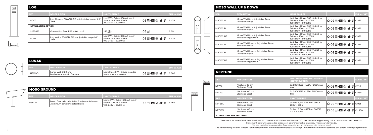# MOSO WALL UP & DOWN

| LOG                                                           |                                                    |                                                                                   |                                       |                    |
|---------------------------------------------------------------|----------------------------------------------------|-----------------------------------------------------------------------------------|---------------------------------------|--------------------|
| REF.                                                          | <b>DESCRIPTION</b>                                 | <b>LIGHT SOURCE</b>                                                               |                                       | <b>EUR ex. VAT</b> |
| Log 70 cm - POWERLED + Adjustable angle 120°<br>LOG70<br>Teak |                                                    | Led 3W - Driver 350mA incl. in<br>fixture - 450 lm - 2700 K<br>100-240V - 50/60Hz | $CE$ <b>Exi</b> $A \oplus A$ <b>E</b> | € 475              |
| <b>INSTALLATION OPTION</b>                                    |                                                    |                                                                                   |                                       |                    |
| Connection Box IP68 - 3x4 mm <sup>2</sup><br><b>JUB5625</b>   |                                                    |                                                                                   | $C \in$ [P68]                         | € 35               |
| <b>LOGW</b>                                                   | Log Wall - POWERLED + Adjustable angle 90°<br>Teak | Led 3W - Driver 350mA incl. in<br>fixture - 450 lm - 2700 K<br>100-240V - 50/60Hz | $CE = AB \oplus AB$                   | € 275              |

| aas.                       | <b>DESCRIPTION</b>                                   | <b>LIGHT SOURCE</b>                                                             |                                                                        | <b>EUR ex. VAT</b> |                | <b>DESCRIPTION</b>                                       | <b>LIGHT SOURCE</b>                                                             |                                                                                                                                                                                                                                                                                                                                                              | <b>EUR ex. VAT</b> |
|----------------------------|------------------------------------------------------|---------------------------------------------------------------------------------|------------------------------------------------------------------------|--------------------|----------------|----------------------------------------------------------|---------------------------------------------------------------------------------|--------------------------------------------------------------------------------------------------------------------------------------------------------------------------------------------------------------------------------------------------------------------------------------------------------------------------------------------------------------|--------------------|
| LOG70                      | Log 70 cm - POWERLED + Adjustable angle 120°<br>Teak | Led 3W - Driver 350mA incl. in<br>fixture - 450lm - 2700K<br>100-240V - 50/60Hz | $C \in \mathbb{F}$ ss $A \oplus A$ $\overline{B}$ $\in$ 475            |                    | <b>MSOWUW</b>  | Moso Wall Up - Adjustable Beam<br>Porcelain White        | Led 3W - Driver 350mA incl. in<br>fixture - 450lm - 2700K<br>100-240V - 50/60Hz | $\bigotimes$ C $\bigodot$ $\bigodot$ $\bigodot$ $\bigodot$ $\bigodot$ $\bigodot$ $\bigodot$ $\bigodot$ $\bigodot$ $\bigodot$ $\bigodot$ $\bigodot$ $\bigodot$ $\bigodot$ $\bigodot$ $\bigodot$ $\bigodot$ $\bigodot$ $\bigodot$ $\bigodot$ $\bigodot$ $\bigodot$ $\bigodot$ $\bigodot$ $\bigodot$ $\bigodot$ $\bigodot$ $\bigodot$ $\bigodot$ $\bigodot$ $\$ |                    |
| <b>INSTALLATION OPTION</b> |                                                      |                                                                                 |                                                                        |                    |                | Moso Wall Up - Adjustable Beam                           | Led 3W - Driver 350mA incl. in                                                  |                                                                                                                                                                                                                                                                                                                                                              |                    |
| <b>JUB5625</b>             | Connection Box IP68 - 3x4 mm <sup>2</sup>            | <b>The Second Second</b>                                                        | $C \in \mathbb{P}^{68}$                                                | € 35               | MSOWUB         | Porcelain Black                                          | fixture - 450lm - 2700K<br>100-240V - 50/60Hz                                   | $\bigotimes$ C $\bigodot$ $\blacksquare$ $\bigoplus$ $\bigoplus$ $\bigoplus$ $\bigotimes$ $\lbrack \varepsilon$ 325                                                                                                                                                                                                                                          |                    |
| _OGW                       | Log Wall - POWERLED + Adjustable angle 90°<br>Teak   | Led 3W - Driver 350mA incl. in<br>fixture - 450lm - 2700K                       | $\mathsf{CE}$ is $\mathsf{A} \oplus \mathsf{A}$ $\mathsf{B}$ $\in$ 275 |                    | <b>MSOWUNB</b> | Moso Wall Up - Adjustable Beam<br>Porcelain Night Blue   | Led 3W - Driver 350mA incl. in<br>fixture - 450lm - 2700K<br>100-240V - 50/60Hz | $\bigotimes$ C $\bigotimes$ $\bigotimes$ $\bigotimes$ $\bigotimes$ $\bigotimes$ $\bigotimes$ E 325                                                                                                                                                                                                                                                           |                    |
|                            |                                                      | 100-240V - 50/60Hz                                                              |                                                                        |                    | <b>MSOWDW</b>  | Moso Wall Down - Adiustable Beam<br>Porcelain White      | Led 3W - Driver 350mA incl. in<br>fixture - 450lm - 2700K<br>100-240V - 50/60Hz | $\bigcirc$ C E $\bigcirc$ $\bigcirc$ $\bigcirc$ $\bigcirc$ $\bigcirc$ $\bigcirc$ $\bigcirc$ $\bigcirc$ $\bigcirc$ 225                                                                                                                                                                                                                                        |                    |
|                            |                                                      |                                                                                 |                                                                        |                    | <b>MSOWDB</b>  | Moso Wall Down - Adiustable Beam<br>Porcelain Black      | Led 3W - Driver 350mA incl. in<br>fixture - 450lm - 2700K<br>100-240V - 50/60Hz | $\bigcirc$ C E $\bigcirc$ $\bigcirc$ $\bigcirc$ $\bigcirc$ $\bigcirc$ $\bigcirc$ $\bigcirc$ $\bigcirc$ $\bigcirc$ 225                                                                                                                                                                                                                                        |                    |
| LUNAR                      |                                                      |                                                                                 |                                                                        |                    | <b>MSOWDNB</b> | Moso Wall Down - Adiustable Beam<br>Porcelain Night Blue | Led 3W - Driver 350mA incl. in<br>fixture - 450lm - 2700K<br>100-240V - 50/60Hz | $\bigcirc$ CE FG $\bigcirc$ $\bigcirc$ $\bigcirc$ $\bigcirc$ $\bigcirc$ $\bigcirc$ $\bigcirc$ 225                                                                                                                                                                                                                                                            |                    |

**THE** 

|                         | <b>NEPTUNE</b>                 |                                          |                                                   |                                                                                                                       |                    |  |  |  |  |  |
|-------------------------|--------------------------------|------------------------------------------|---------------------------------------------------|-----------------------------------------------------------------------------------------------------------------------|--------------------|--|--|--|--|--|
| $\frac{\Delta}{\Delta}$ | REF.                           | <b>DESCRIPTION</b>                       | <b>RECOMMENDED LIGHT SOURCE</b><br>(NOT INCLUDED) |                                                                                                                       | <b>EUR ex. VAT</b> |  |  |  |  |  |
|                         | NPT60                          | Neptune 60 cm<br><b>Stainless Steel</b>  | 3x 230V/E27 - LED / FLUO max<br>11W               | OCE <b>E</b> $\mathbf{A} \oplus \mathbf{A}$ $\parallel$ $\in$ 715                                                     |                    |  |  |  |  |  |
|                         | <b>NPT100</b>                  | Neptune 100 cm<br><b>Stainless Steel</b> | 3x 230V/E27 - LED / FLUO max<br>11W               | $\bigcirc$ ( $\bigcirc$ $\mathbb{F}$ $\bigcirc$ $\bigcirc$ $\bigcirc$ $\bigcirc$ $\bigcirc$ $\bigcirc$ $\bigcirc$ 860 |                    |  |  |  |  |  |
|                         | REF.                           | <b>DESCRIPTION</b>                       | <b>LIGHT SOURCE</b>                               |                                                                                                                       | <b>EUR ex. VAT</b> |  |  |  |  |  |
|                         | NPT60L                         | Neptune 60 cm<br><b>Stainless Steel</b>  | 3x Led 8,5W - 470lm - 3000K<br>230V - 50Hz        | $\bigcirc$ ( $\bigcirc$ $\mathbb{F}$ $\bigcirc$ $\mathbb{A}$ $\bigcirc$ $\bigcirc$ $\bigcirc$ $\bigcirc$ 85           |                    |  |  |  |  |  |
|                         | NPT100L                        | Neptune 100 cm<br><b>Stainless Steel</b> | 3x Led 8,5W - 470lm - 3000K<br>230V - 50Hz        | $\bigcirc$ CE $\blacksquare$ $\bigcirc$ $\bigcirc$ $\blacksquare$ $\triangleright$ $\blacksquare$ E 1.130             |                    |  |  |  |  |  |
|                         | <b>CONNECTION BOX INCLUDED</b> |                                          |                                                   |                                                                                                                       |                    |  |  |  |  |  |

| n. | LUNAR  |                                                             |                                                          |                                                            |                    |  |  |
|----|--------|-------------------------------------------------------------|----------------------------------------------------------|------------------------------------------------------------|--------------------|--|--|
|    | 내 리티타  | <b>DESCRIPTION</b>                                          | <b>LIGHT SOURCE</b>                                      |                                                            | <b>EUR ex. VAT</b> |  |  |
|    | LURWAC | Lunar Wall $\varnothing$ 22 cm<br>Marble Arabescato Carrara | Led strip 4,8W - Driver included<br>24V - 2700K - 480 lm | $CE$ <b>EG</b> $\mathbf{A} \oplus \mathbf{A}$ $\mathbf{B}$ | € 385              |  |  |

| <b>MOSO GROUND</b> |                                                                             |                                                                                   |                                              |                    |  |
|--------------------|-----------------------------------------------------------------------------|-----------------------------------------------------------------------------------|----------------------------------------------|--------------------|--|
| REE.               | <b>DESCRIPTION</b>                                                          | <b>LIGHT SOURCE</b>                                                               |                                              | <b>EUR ex. VAT</b> |  |
| <b>MSOGA</b>       | Moso Ground - orientable & adjustable beam<br>Aluminium powder coated black | Led 4,3W - Driver 500mA incl. in<br>fixture - 700lm - 2700K<br>100-240V - 50/60Hz | $C \in \mathbb{F}$ and $\oplus$ and $\oplus$ | $\epsilon$ 465     |  |

Treatment for use of stainless steel parts in marine environment on demand. Do not install energy saving bulbs on a movement detector! Traitement pour utilisation des pièces en acier inoxydable en milieu marin sur demande.

Ne pas installer les ampoules fluorescente sur un détecteur de mouvement!

Die Behandlung für den Einsatz von Edelstahlteilen in Meeresumwelt ist auf Anfrage. Installieren Sie keine Sparbirne auf einem Bewegungsmelder!

 $\equiv$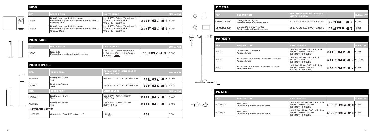# NON

 $\overline{\mathbb{R}}$ 

厅

ᆂ

 $\bigcap$ 

| REE.        | <b>DESCRIPTION</b>                                                                                | <b>LIGHT SOURCE</b>                                                               |                                                                                                                                                  | <b>EUR ex. VAT</b> |
|-------------|---------------------------------------------------------------------------------------------------|-----------------------------------------------------------------------------------|--------------------------------------------------------------------------------------------------------------------------------------------------|--------------------|
| <b>NONR</b> | Non Ground - Adjustable angle<br>Electro hand polished stainless steel - Cube in<br>Carmine Red   | Led 2.2W - Driver 250mA incl. in<br>fixture - 390lm - 2700K<br>100-240V - 50/60Hz | $\bigcirc$ CE $\blacksquare$ $\bigcirc$ $\blacksquare$ $\bigcirc$ $\blacksquare$ $\blacksquare$ $\blacksquare$ $\blacksquare$ $\blacksquare$ 495 |                    |
| <b>NONO</b> | Non Ground - Adjustable angle<br>Electro hand polished stainless steel - Cube in<br>Organic Olive | Led 2,2W - Driver 250mA incl. in<br>fixture - 390lm - 2700K<br>100-240V - 50/60Hz | $\bigcirc$ CE FG $\bigcirc$ $\bigcirc$ $\bigcirc$ $\bigcirc$ $\bigcirc$ $\bigcirc$ E 495                                                         |                    |

# **OMEGA**

 $\mathcal{Q}$   $\Box$ 

| I NON-SIDE  |                                                   |                                                                  |                |                    |  |  |  |
|-------------|---------------------------------------------------|------------------------------------------------------------------|----------------|--------------------|--|--|--|
| REF.        | <b>DESCRIPTION</b>                                | <b>LIGHT SOURCE</b>                                              |                | <b>EUR ex. VAT</b> |  |  |  |
| <b>NONS</b> | Non-Side<br>Electro hand polished stainless steel | Led 2,2W - Driver 250mA incl.<br>in fixture - 300lm - 100-240V - | <b>CERAGAY</b> | $\epsilon$ 350     |  |  |  |

| <b>NORTHPOLE</b>           |                                           |                                                   |                                                                                                                    |                      |
|----------------------------|-------------------------------------------|---------------------------------------------------|--------------------------------------------------------------------------------------------------------------------|----------------------|
| REF.                       | <b>DESCRIPTION</b>                        | <b>RECOMMENDED LIGHT SOURCE</b><br>(NOT INCLUDED) |                                                                                                                    | <b>EUR ex. VAT</b>   |
| <b>NOR40 *</b>             | Northpole 40 cm<br>Teak                   | 230V/E27 - LED / FLUO max 11W                     | $C \in \mathbb{P}$ <b>A</b> $\Box$ <b>A</b> $\Im$ $\in$ 295                                                        |                      |
| NOR70                      | Northpole 70 cm<br>Teak                   | 230V/E27 - LED / FLUO max 11W                     | $C \in \mathbb{F}^n$ and $\overline{A}$                                                                            | $\sqrt{3}$ $\in$ 325 |
| REF.                       | <b>DESCRIPTION</b>                        | <b>LIGHT SOURCE</b>                               |                                                                                                                    | <b>EUR ex. VAT</b>   |
| NOR40L *                   | Northpole 40 cm<br>Teak                   | Led 8,5W - 470lm - 3000K<br>230V - 50Hz           | $\bigcirc$ CE $\blacksquare$ $\bigcirc$ $\blacksquare$ $\bigcirc$ $\blacksquare$ $\blacksquare$ $\blacksquare$ 405 |                      |
| NOR70L                     | Northpole 70 cm<br>Teak                   | Led 8,5W - 470lm - 3000K<br>230V - 50Hz           | $\bigcirc$ CE $\blacksquare$ $\bigcirc$ $\blacksquare$ $\bigcirc$ $\blacksquare$ E 435                             |                      |
| <b>INSTALLATION OPTION</b> |                                           |                                                   |                                                                                                                    |                      |
| <b>JUB5625</b>             | Connection Box IP68 - 3x4 mm <sup>2</sup> |                                                   | $C \in \mathbb{F}$                                                                                                 | € 35                 |

| REF.       | <b>DESCRIPTION</b>                                         | <b>RECOMMENDED LIGHT SOURCE</b><br>(NOT INCLUDED) |                                                                                                     | <b>EUR ex. VAT</b> |
|------------|------------------------------------------------------------|---------------------------------------------------|-----------------------------------------------------------------------------------------------------|--------------------|
| OMG1D220EP | Omega Down lighter<br>Electropolished stainless steel      | 230V /GU10-LED 5W / Flat Optic                    | $C \in \mathbb{F}^n$ $\mathbb{C} \oplus \mathbb{C}$ $\mathbb{C}$ $\oplus$ $\mathbb{C}$ $\mathbb{R}$ | € 225              |
| OMG2D220EP | Omega Up & Down lighter<br>Electropolished stainless steel | 230V /GU10-LED 5W / Flat Optic                    | $C \in \mathbb{F}$ and $\oplus$ and $\mathbb{F}$                                                    | € 350              |

|   | OMG2D220EP         | Omega Up & Down lighter<br>Electropolished stainless steel   | 230V /GU10-LED 5W / Flat Optic                                                    | $CE \oplus \overline{AC} \oplus \overline{A} \ \overline{B}$                                               | € 350              |
|---|--------------------|--------------------------------------------------------------|-----------------------------------------------------------------------------------|------------------------------------------------------------------------------------------------------------|--------------------|
|   |                    |                                                              |                                                                                   |                                                                                                            |                    |
|   | <b>PARKER</b>      |                                                              |                                                                                   |                                                                                                            |                    |
|   | REF.               | <b>DESCRIPTION</b>                                           | <b>LIGHT SOURCE</b>                                                               |                                                                                                            | <b>EUR ex. VAT</b> |
|   | <b>PRKW</b>        | Paker Wall - Powerled<br>Antique brass                       | Led 3W - Driver 350mA incl. in<br>fixture - 450lm - 2700K<br>100-240V - 50/60Hz   | $\bigcirc$ (end and $\bigcirc$ and $\bigcirc$<br>⊠                                                         | € 565              |
|   | PRKF               | Paker Flood - Powerled - Granite base incl.<br>Antique brass | Led 3W - Driver 350mA incl.<br>450lm - 2700K<br>100-240V - 50/60Hz                | $\bigcirc$ ( $\in$ $\blacksquare$ $\oplus$ $\blacktriangleleft$<br>図                                       | €1.085             |
|   | <b>PRKP</b>        | Paker Path - Powerled - Granite base incl.<br>Antique brass  | Led 3W - Driver 350mA incl. in<br>fixture - 450lm - 2700K<br>100-240V - 50/60Hz   | $\bigcirc$ ( $\in$ $\blacksquare$ $\oplus$ $\blacksquare$ $\triangleright$ $\blacksquare$ $\triangleright$ | € 885              |
|   |                    |                                                              |                                                                                   |                                                                                                            |                    |
|   | <b>PRATO</b>       |                                                              |                                                                                   |                                                                                                            |                    |
|   | REF.               | <b>DESCRIPTION</b>                                           | <b>LIGHT SOURCE</b>                                                               |                                                                                                            | <b>EUR ex. VAT</b> |
| 石 | PRTWW <sup>*</sup> | Prato Wall<br>Aluminium powder coated white                  | Led 5,8W - Driver 500mA incl. in<br>fixture - 540lm - 3000K<br>100-240V - 50/60Hz | $\circledcirc$ ( $\epsilon$ is and $\circledcirc$ of<br>⊠                                                  | € 375              |
|   | PRTWS *            | Prato Wall<br>Aluminium powder coated sand                   | Led 5,8W - Driver 500mA incl. in<br>fixture - 540lm - 3000K<br>100-240V - 50/60Hz | $\odot$ CE $\blacksquare$ $\oplus$<br>⊠                                                                    | € 375              |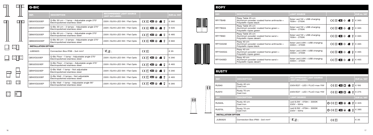|                 | Q-BIC                      |                                                                                  |                                                   |                                                         |                    |  |
|-----------------|----------------------------|----------------------------------------------------------------------------------|---------------------------------------------------|---------------------------------------------------------|--------------------|--|
|                 | REF.                       | <b>DESCRIPTION</b>                                                               | <b>RECOMMENDED LIGHT SOURCE</b><br>(NOT INCLUDED) |                                                         | <b>EUR ex. VAT</b> |  |
| $\circ$ $\circ$ | QB301D220EP                | Q-Bic 30 cm - 1 lamp - Adjustable angle 270°<br>Electropolished stainless steel  | 230V /GU10-LED 5W / Flat Optic                    | $CE \triangle C \oplus 1$                               | € 360              |  |
|                 | QB302D220EP                | Q-Bic 30 cm - 2 lamps - Adjustable angle 270°<br>Electropolished stainless steel | 230V /GU10-LED 5W / Flat Optic                    |                                                         | € 535              |  |
|                 | QB601D220EP                | Q-Bic 60 cm - 1 lamp - Adjustable angle 270°<br>Electropolished stainless steel  | 230V /GU10-LED 5W / Flat Optic                    | $CE$ $\blacksquare$ $\oplus$ $\clubsuit$ $\blacksquare$ | €485               |  |
|                 | QB602D220EP                | Q-Bic 60 cm - 2 lamps - Adjustable angle 270°<br>Electropolished stainless steel | 230V /GU10-LED 5W / Flat Optic                    |                                                         | € 660              |  |
|                 | <b>INSTALLATION OPTION</b> |                                                                                  |                                                   |                                                         |                    |  |
|                 |                            |                                                                                  |                                                   |                                                         |                    |  |
|                 | <b>JUB5625</b>             | Connection Box IP68 - 3x4 mm <sup>2</sup>                                        | <b>ELE</b>                                        | $CE$ $Pes$                                              | € 35               |  |
|                 | QBG1D220EP                 | Q-Bic Floor - 1 lamp - Adjustable angle 270°<br>Electropolished stainless steel  | 230V /GU10-LED 5W / Flat Optic                    | $CE$ <b>Existed</b> $\bigoplus$ $\mathcal{A}$ <b>B</b>  | € 290              |  |
|                 | QBG2D220EP                 | Q-Bic Floor - 2 lamps - Adjustable angle 270°<br>Electropolished stainless steel | 230V /GU10-LED 5W / Flat Optic                    | $C \in \mathbb{R}$ and $\oplus$ and $\overline{B}$      | €465               |  |
|                 | QBW1D220EP                 | Q-Bic Wall - 1 lamp - Not adjustable<br>Electropolished stainless steel          | 230V /GU10-LED 5W / Flat Optic                    | $CE = \Box \oplus \Diamond \Box$                        | € 290              |  |
| $\mathbb{C}^3$  | QBW2D220EP                 | Q-Bic Wall - 2 lamps - Not adjustable<br>Electropolished stainless steel         | 230V /GU10-LED 5W / Flat Optic                    | $CE$ <b>Existed</b> $\bigoplus$ $\mathcal{A}$ <b>B</b>  | €465               |  |

# **ROPY**

| <b>DESCRIPTION</b>                        | <b>RECOMMENDED LIGHT SOURCE</b><br>(NOT INCLUDED) |                                                                                                                                                                                                                                                                                                                                   | <b>EUR ex. VAT</b> |
|-------------------------------------------|---------------------------------------------------|-----------------------------------------------------------------------------------------------------------------------------------------------------------------------------------------------------------------------------------------------------------------------------------------------------------------------------------|--------------------|
| Rusty 40 cm<br>Cast Iron                  | 230V/E27 - LED / FLUO max 11W                     | $CE$ $\blacksquare$ $\blacksquare$ $\blacksquare$ $\blacksquare$ $\blacksquare$                                                                                                                                                                                                                                                   | € 195              |
| Rusty 70 cm<br>Cast Iron                  | 230V/E27 - LED / FLUO max 11W                     | $C \in \mathbb{F}$ $\mathbb{Z}$ $\mathbb{Z}$ $\mathbb{Z}$ $\mathbb{Z}$ $\mathbb{Z}$ $\mathbb{Z}$ $\mathbb{Z}$ $\mathbb{Z}$ $\mathbb{Z}$ $\mathbb{Z}$ $\mathbb{Z}$ $\mathbb{Z}$ $\mathbb{Z}$ $\mathbb{Z}$ $\mathbb{Z}$ $\mathbb{Z}$ $\mathbb{Z}$ $\mathbb{Z}$ $\mathbb{Z}$ $\mathbb{Z}$ $\mathbb{Z}$ $\mathbb{Z}$ $\mathbb{Z}$ $\$ | € 275              |
| <b>DESCRIPTION</b>                        | <b>LIGHT SOURCE</b>                               |                                                                                                                                                                                                                                                                                                                                   | <b>EUR ex. VAT</b> |
| Rusty 40 cm<br>Cast Iron                  | Led 8,5W - 470lm - 3000K<br>230V - 50Hz           | $\bigcirc$ CE $\blacksquare$ $\oplus$ $\blacksquare$ $\blacksquare$ $\blacksquare$ $\epsilon$ 305                                                                                                                                                                                                                                 |                    |
| Rusty 70 cm<br>Cast Iron                  | Led 8,5W - 470lm - 3000K<br>230V - 50Hz           | $\circledcirc$ ( $\in$ $\blacksquare$ $\oplus$ $\clubsuit$ $\blacksquare$ $\blacksquare$                                                                                                                                                                                                                                          | € 385              |
| ON                                        |                                                   |                                                                                                                                                                                                                                                                                                                                   |                    |
| Connection Box IP68 - 3x4 mm <sup>2</sup> |                                                   | $C \in \mathbb{F}$                                                                                                                                                                                                                                                                                                                | € 35               |

|  | REF.           | <b>DESCRIPTION</b>                                                                       | <b>LIGHT SOURCE</b>                            |                                                              | <b>EUR ex. VAT</b> |
|--|----------------|------------------------------------------------------------------------------------------|------------------------------------------------|--------------------------------------------------------------|--------------------|
|  | <b>RPYTBAB</b> | Ropy Table 25 cm<br>Aluminium powder coated frame anthracite +<br>Polyolefin ropes black | Solar Led 1W + USB charging<br>150m - 2700K    | $C \in \mathbb{F}$ and $\circledast$ and $\circledast$       | € 365              |
|  | <b>RPYTBGG</b> | Ropy Table 25 cm<br>Aluminium powder coated frame green +<br>Polyolefin ropes green      | Solar Led 1W + USB charging<br>150m - 2700K    | $CE = A \otimes A$                                           | € 365              |
|  | <b>RPYTBSD</b> | Ropy Table 25 cm<br>Aluminium powder coated frame sand +<br>Polyolefin ropes desert      | Solar Led 1W + USB charging<br>150m - 2700K    | $CE$ <b>Exi</b> $\mathbf{A} \otimes \mathbf{A}$ <b>X</b>     | € 365              |
|  | RPY040AB       | Ropy 40 cm<br>Aluminium powder coated frame anthracite +<br>Polyolefin ropes black       | Solar Led 2,6W + USB charging<br>400lm - 2700K | $CE$ $\blacksquare$ $\lozenge$ $\blacksquare$ $\blacksquare$ | € 465              |
|  | RPY040GG       | Ropy 40 cm<br>Aluminium powder coated frame green +<br>Polyolefin ropes green            | Solar Led 2,6W + USB charging<br>400lm - 2700K | $CE = AB \Leftrightarrow AB$                                 | € 465              |
|  | RPY040SD       | Ropy 40 cm<br>Aluminium powder coated frame sand +<br>Polyolefin ropes desert            | Solar Led 2,6W + USB charging<br>400m - 2700K  | $CE = AB \Leftrightarrow AB$                                 | €465               |

# RUSTY

(書)

|   | REF.           | <b>DESCRIPTION</b>                        | <b>RECOMMENDED LIGHT SOURCE</b><br>(NOT INCLUDED) |                                    | <b>EUR ex. VAT</b>                                                                                                                                                                                                                                                                                                                                                                                                                                                                                                                                                                                                                                                                                                 |
|---|----------------|-------------------------------------------|---------------------------------------------------|------------------------------------|--------------------------------------------------------------------------------------------------------------------------------------------------------------------------------------------------------------------------------------------------------------------------------------------------------------------------------------------------------------------------------------------------------------------------------------------------------------------------------------------------------------------------------------------------------------------------------------------------------------------------------------------------------------------------------------------------------------------|
| 簊 | RUS40          | Rusty 40 cm<br>Cast Iron                  | 230V/E27 - LED / FLUO max 11W                     |                                    |                                                                                                                                                                                                                                                                                                                                                                                                                                                                                                                                                                                                                                                                                                                    |
|   | RUS70          | Rusty 70 cm<br>Cast Iron                  | 230V/E27 - LED / FLUO max 11W                     |                                    |                                                                                                                                                                                                                                                                                                                                                                                                                                                                                                                                                                                                                                                                                                                    |
|   | REF.           | <b>DESCRIPTION</b>                        | <b>LIGHT SOURCE</b>                               |                                    | <b>EUR ex. VAT</b>                                                                                                                                                                                                                                                                                                                                                                                                                                                                                                                                                                                                                                                                                                 |
|   | RUS40L         | Rusty 40 cm<br>Cast Iron                  | Led 8,5W - 470lm - 3000K<br>230V - 50Hz           |                                    |                                                                                                                                                                                                                                                                                                                                                                                                                                                                                                                                                                                                                                                                                                                    |
|   | RUS70L         | Rusty 70 cm<br>Cast Iron                  | Led 8,5W - 470lm - 3000K<br>230V - 50Hz           |                                    |                                                                                                                                                                                                                                                                                                                                                                                                                                                                                                                                                                                                                                                                                                                    |
|   |                |                                           |                                                   |                                    |                                                                                                                                                                                                                                                                                                                                                                                                                                                                                                                                                                                                                                                                                                                    |
|   | <b>JUB5625</b> | Connection Box IP68 - 3x4 mm <sup>2</sup> |                                                   | $C \in \mathbb{F}$ <sup>1P68</sup> | € 35                                                                                                                                                                                                                                                                                                                                                                                                                                                                                                                                                                                                                                                                                                               |
|   |                |                                           | <b>INSTALLATION OPTION</b>                        |                                    | $C \in \mathbb{F}$ ss $\mathbb{E}$ $\mathbb{E}$ $\mathbb{E}$ $\mathbb{E}$ $\mathbb{E}$ $\mathbb{E}$ $\mathbb{E}$ 195<br>$\bigcirc$ CE $\blacksquare$ $\bigcirc$ $\blacksquare$ $\bigcirc$ $\bigcirc$ $\blacksquare$ $\in$ 305<br>$\bigcirc$ CE $\blacksquare$ $\blacksquare$ $\bigcirc$ $\blacksquare$ $\blacksquare$ $\blacksquare$ $\blacksquare$ $\blacksquare$ $\blacksquare$ $\blacksquare$ $\blacksquare$ $\blacksquare$ $\blacksquare$ $\blacksquare$ $\blacksquare$ $\blacksquare$ $\blacksquare$ $\blacksquare$ $\blacksquare$ $\blacksquare$ $\blacksquare$ $\blacksquare$ $\blacksquare$ $\blacksquare$ $\blacksquare$ $\blacksquare$ $\blacksquare$ $\blacksquare$ $\blacksquare$ $\blacksquare$ $\bl$ |

 $\boxed{\circ}$   $\boxed{\bullet}$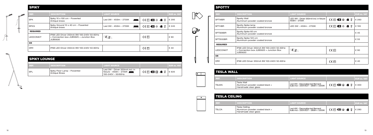| REF.            | <b>DESCRIPTION</b>                                        | <b>LIGHT SOURCE</b>                        |                                                                                                                                                                                                                                                                                                                                                                                                                                                                                                                                                                                                                                    | <b>EUR ex. VAT</b> | $\mathbb R$               |                  | <b>DESCRIPTION</b>                                                                                     | <b>LIGHT SOURCE</b>                                     |                                                                              | <b>EUR ex. VAT</b> |
|-----------------|-----------------------------------------------------------|--------------------------------------------|------------------------------------------------------------------------------------------------------------------------------------------------------------------------------------------------------------------------------------------------------------------------------------------------------------------------------------------------------------------------------------------------------------------------------------------------------------------------------------------------------------------------------------------------------------------------------------------------------------------------------------|--------------------|---------------------------|------------------|--------------------------------------------------------------------------------------------------------|---------------------------------------------------------|------------------------------------------------------------------------------|--------------------|
| <b>SPK</b>      | Spiky 10 x 100 cm - Powerled<br>Antique brass             | Led 3W - 450lm - 2700K<br><b>HARABARAH</b> | $C \in \mathbb{F}$ $\left\{ \blacksquare \oplus \blacksquare \oplus \blacksquare \oplus \blacksquare \oplus \blacksquare \oplus \blacksquare \oplus \blacksquare \oplus \blacksquare \oplus \blacksquare \oplus \blacksquare \oplus \blacksquare \oplus \blacksquare \oplus \blacksquare \oplus \blacksquare \oplus \blacksquare \oplus \blacksquare \oplus \blacksquare \oplus \blacksquare \oplus \blacksquare \oplus \blacksquare \oplus \blacksquare \oplus \blacksquare \oplus \blacksquare \oplus \blacksquare \oplus \blacksquare \oplus \blacksquare \oplus \blacksquare \oplus \blacksquare \oplus \blacksquare \oplus \$ |                    |                           | <b>SPTWBR</b>    | Spotty Wall<br>Aluminium powder coated bronze                                                          | LED 3W - Driver 350mA incl. in fixture<br>450lm - 2700K | $C \in \mathbb{F}$ $\mathbb{Z} \oplus \mathbb{Z}$ $\mathbb{Z}$ $\in$ 260     |                    |
| <b>SPKG</b>     | Spiky Ground 10 x 40 cm - Powerled<br>Antique brass       | Led 3W - 450lm - 2700K<br><b>HARRAHAMI</b> | $\mathsf{CE}$ is $\mathsf{A} \otimes \mathsf{A}$ $\upbeta$ $\in$ 245                                                                                                                                                                                                                                                                                                                                                                                                                                                                                                                                                               |                    |                           | <b>SPTHBR</b>    | Spotty Spike lamp<br>Aluminium powder coated bronze                                                    | LED 3W - 450lm - 2700K                                  | $\mathsf{CE}$ is $\mathsf{A} \otimes \mathsf{A}$ $\mathbb{B}$ $\epsilon$ 195 |                    |
| <b>REQUIRED</b> |                                                           |                                            |                                                                                                                                                                                                                                                                                                                                                                                                                                                                                                                                                                                                                                    |                    | $\mathbf{Q}^{\mathbf{b}}$ | SPTS06BR         | Spotty Spike 60 cm                                                                                     |                                                         |                                                                              | € 45               |
|                 | IP68 LED Driver 350mA 9W 100-240V 50-60Hz                 |                                            |                                                                                                                                                                                                                                                                                                                                                                                                                                                                                                                                                                                                                                    |                    |                           |                  | Aluminium powder coated bronze                                                                         |                                                         |                                                                              |                    |
| <b>EDCONKIT</b> | + Connection box JUB5625 + Junction Box<br><b>JUB5630</b> | The                                        | $C \in \mathbb{F}^{68}$                                                                                                                                                                                                                                                                                                                                                                                                                                                                                                                                                                                                            | € 90               |                           | SPTS120BR        | Spotty Spike 120 cm<br>Aluminium powder coated bronze                                                  |                                                         |                                                                              | € 55               |
|                 |                                                           |                                            |                                                                                                                                                                                                                                                                                                                                                                                                                                                                                                                                                                                                                                    |                    |                           | <b>REQUIRED</b>  |                                                                                                        |                                                         |                                                                              |                    |
|                 |                                                           |                                            |                                                                                                                                                                                                                                                                                                                                                                                                                                                                                                                                                                                                                                    |                    |                           |                  |                                                                                                        |                                                         |                                                                              |                    |
| DRI1            | IP68 LED Driver 350mA 9W 100-240V 50-60Hz                 |                                            | $C \in \mathbb{F}$                                                                                                                                                                                                                                                                                                                                                                                                                                                                                                                                                                                                                 | € 40               |                           | <b>LEDCONKIT</b> | IP68 LED Driver 350mA 9W 100-240V 50-60Hz<br>+ Connection box JUB5625 + Junction Box<br><b>JUB5630</b> | ELLE                                                    | $C \in \mathbb{P}$ 68                                                        | € 90               |
|                 |                                                           |                                            |                                                                                                                                                                                                                                                                                                                                                                                                                                                                                                                                                                                                                                    |                    |                           | <b>OR</b>        |                                                                                                        |                                                         |                                                                              |                    |
| SPIKY LOUNGE    |                                                           |                                            |                                                                                                                                                                                                                                                                                                                                                                                                                                                                                                                                                                                                                                    |                    |                           |                  |                                                                                                        |                                                         |                                                                              |                    |
|                 |                                                           |                                            |                                                                                                                                                                                                                                                                                                                                                                                                                                                                                                                                                                                                                                    |                    |                           | DRI1             | IP68 LED Driver 350mA 9W 100-240V 50-60Hz                                                              |                                                         | $C \in \mathbb{P}$ 68                                                        | € 40               |
|                 |                                                           |                                            |                                                                                                                                                                                                                                                                                                                                                                                                                                                                                                                                                                                                                                    |                    |                           |                  |                                                                                                        |                                                         |                                                                              |                    |

### **SPIKY**

| REF.             | <b>DESCRIPTION</b>                                                                                     | <b>LIGHT SOURCE</b>                        |                               | <b>EUR ex. VAT</b> |  |  |  |
|------------------|--------------------------------------------------------------------------------------------------------|--------------------------------------------|-------------------------------|--------------------|--|--|--|
| <b>SPK</b>       | Spiky 10 x 100 cm - Powerled<br>Antique brass                                                          | <b>THIHHHHHH</b><br>Led 3W - 450lm - 2700K | $CE$ ips $AB$ $\otimes$ $AB$  | € 295              |  |  |  |
| <b>SPKG</b>      | Spiky Ground 10 x 40 cm - Powerled<br>Antique brass                                                    | <b>THIHHHHHH</b><br>Led 3W - 450lm - 2700K | $CE$ ipss $AA$ $\otimes$ $AB$ | € 245              |  |  |  |
| <b>REQUIRED</b>  |                                                                                                        |                                            |                               |                    |  |  |  |
| <b>LEDCONKIT</b> | IP68 LED Driver 350mA 9W 100-240V 50-60Hz<br>+ Connection box JUB5625 + Junction Box<br><b>JUB5630</b> |                                            | $C \in$ [IP68]                | € 90               |  |  |  |
| <b>OR</b>        |                                                                                                        |                                            |                               |                    |  |  |  |
| DRI1             | IP68 LED Driver 350mA 9W 100-240V 50-60Hz                                                              |                                            | $CE$ $Fes$                    | € 40               |  |  |  |

| <b>DESCRIPTION</b>                                                                              | <b>LIGHT SOURCE</b>                                    |                                 | <b>EUR ex. VAT</b> |
|-------------------------------------------------------------------------------------------------|--------------------------------------------------------|---------------------------------|--------------------|
| Spotty Wall<br>Aluminium powder coated bronze                                                   | LED 3W - Driver 350mA incl. in fixture<br>450m - 2700K | $C \in \mathbb{F}$ $A \oplus A$ | € 260              |
| Spotty Spike lamp<br>Aluminium powder coated bronze                                             | LED 3W - 450 m - 2700K                                 | $CE$ ipss $AB$ $\otimes$ $AB$   | € 195              |
| Spotty Spike 60 cm<br>Aluminium powder coated bronze                                            |                                                        |                                 | € 45               |
| Spotty Spike 120 cm<br>Aluminium powder coated bronze                                           |                                                        |                                 | € 55               |
|                                                                                                 |                                                        |                                 |                    |
| IP68 LED Driver 350mA 9W 100-240V 50-60Hz<br>+ Connection box JUB5625 + Junction Box<br>JUB5630 |                                                        | $C \in F$ [IP68]                | € 90               |
|                                                                                                 |                                                        |                                 |                    |
| IP68 LED Driver 350mA 9W 100-240V 50-60Hz                                                       |                                                        | $C \in F$ <sub>IP68</sub>       | € 40               |

| € 635 |  | <b>TESLA WALL</b> |                                                                              |                                                                          |                                                      |                    |
|-------|--|-------------------|------------------------------------------------------------------------------|--------------------------------------------------------------------------|------------------------------------------------------|--------------------|
|       |  | REF.              | <b>DESCRIPTION</b>                                                           | LIGHT SOURCE                                                             |                                                      | <b>EUR ex. VAT</b> |
|       |  | <b>TSLWA</b>      | <b>Tesla Wall</b><br>Aluminium powder coated black +<br>Handmade clear glass | Led 4W - Decorative led filament<br>bulb incl.- 230V/E27 - 280lm / 2200K | $C \in \mathbb{R}^n$ and $\oplus$ and $\mathbb{R}^n$ | € 300              |

| REF.  | <b>DESCRIPTION</b>                                  | <b>LIGHT SOURCE</b>                                  |                                                     | <b>EUR ex. VAT</b> |
|-------|-----------------------------------------------------|------------------------------------------------------|-----------------------------------------------------|--------------------|
| ' SPL | Spiky Floor Lamp - Powerled<br><b>Antique Brass</b> | Led 3W - Driver 350mA incl. in<br>100-240V - 50/60Hz | CE l®G <a <▲="" td="" □="" 図<=""><td>€ 635</td></a> | € 635              |

# **SPOTTY**

| <b>LIGHT SOURCE,</b>                                                     |                                                      | <b>EUR ex. VAT</b> |
|--------------------------------------------------------------------------|------------------------------------------------------|--------------------|
| Led 4W - Decorative led filament<br>bulb incl.- 230V/E27 - 280lm / 2200K | $CE$ $P$ $E$ $\bigoplus$ $\bigoplus$ $\bigoplus$ $E$ | € 300              |

| $\sim$ |              | <b>TESLA CEILING</b>                                                     |                                                                          |                                                    |                    |  |  |  |
|--------|--------------|--------------------------------------------------------------------------|--------------------------------------------------------------------------|----------------------------------------------------|--------------------|--|--|--|
|        | REE.         | <b>DESCRIPTION</b>                                                       | <b>LIGHT SOURCE</b>                                                      |                                                    | <b>EUR ex. VAT</b> |  |  |  |
| __     | <b>TSLCA</b> | Tesla Ceiling<br>Aluminium powder coated black +<br>Handmade clear glass | Led 4W - Decorative led filament<br>bulb incl.- 230V/E27 - 280lm / 2200K | $C \in \mathbb{F}^n$ and $\oplus$ and $\mathbb{F}$ | € 280              |  |  |  |

 $\overline{A}$ ノー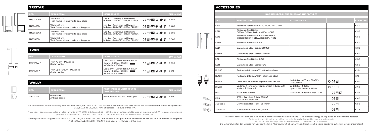### ACCESSORIES

We recommend for the following articles: BMY, OMG, QB, WAL a LED - GU10 with a flat optic with a max of 5W. We recommend for the following articles: CLB, ELL, IRN, LIG, RUS, NPT a fluorscent led bulb of max 11W.

### **TRICTAR**

|                          | .               |                                                    |                                                                          |                                                            |             |
|--------------------------|-----------------|----------------------------------------------------|--------------------------------------------------------------------------|------------------------------------------------------------|-------------|
| $\overline{\phantom{a}}$ | REF.            | <b>DESCRIPTION</b>                                 | <b>LIGHT SOURCE</b>                                                      |                                                            | EUR ex. VAT |
|                          | <b>TRS045OM</b> | Tristar 45 cm<br>Teak frame + Handmade opal glass  | Led 4W - Decorative led filament<br>bulb incl.- 230V/E27 - 280lm / 2200K | $CE$ <b>EG</b> $AC$ $\oplus$ $A$ $B$                       | €485        |
|                          | TRS045SM        | Tristar 45 cm<br>Teak frame + Handmade smoke glass | Led 4W - Decorative led filament<br>bulb incl.- 230V/E27 - 280lm / 2200K | $CE$ <b>Mg</b> $AB \oplus$ $AB$                            | €485        |
|                          | <b>TRS050OM</b> | Tristar 50 cm<br>Teak frame + Handmade opal glass  | Led 4W - Decorative led filament<br>bulb incl.- 230V/E27 - 280lm / 2200K | $CE$ $\blacksquare$ $\oplus$ $\blacksquare$ $\blacksquare$ | € 585       |
|                          | TRS050SM        | Tristar 50 cm<br>Teak frame + Handmade smoke glass | Led 4W - Decorative led filament<br>bulb incl.- 230V/E27 - 280lm / 2200K | $CE$ <b>Exists</b> $\oplus$ $\clubsuit$ $\S$               | € 585       |

| NOT INCLUDED IN THE PRICES OF THE FIXTURES                                                                                                                               |                    |  |  |  |  |  |  |
|--------------------------------------------------------------------------------------------------------------------------------------------------------------------------|--------------------|--|--|--|--|--|--|
|                                                                                                                                                                          |                    |  |  |  |  |  |  |
|                                                                                                                                                                          |                    |  |  |  |  |  |  |
| <b>FITTING - BULB</b><br>REF.<br><b>DESCRIPTION</b>                                                                                                                      | <b>EUR ex. VAT</b> |  |  |  |  |  |  |
| <b>LIGB</b><br>Stainless Steel Spike: LIG / NOR / ELL / IRN                                                                                                              | € 40               |  |  |  |  |  |  |
| Stainless Steel Spike:<br><b>LBN</b><br>QB30 / QB60 / TWIN / MSO / NONS                                                                                                  | € 35               |  |  |  |  |  |  |
| Stainless Steel Spike: QBG1D220EP /<br><b>LBQ</b><br>QBG2D220EP / QBWVD220EP / NON                                                                                       | € 35               |  |  |  |  |  |  |
| 55 cm<br>$50 \text{ cm}$<br><b>LBNPT</b><br>Stainless Steel Spike: NPT                                                                                                   | € 40               |  |  |  |  |  |  |
| <b>LBD</b><br>Galvanised Steel Spike: DOMEF                                                                                                                              | € 60               |  |  |  |  |  |  |
| <b>LBDM</b><br>Galvanised Steel Spike: DOMEM                                                                                                                             | € 60               |  |  |  |  |  |  |
| Stainless Steel Spike: LOG<br><b>LBL</b>                                                                                                                                 | € 55               |  |  |  |  |  |  |
| LBR<br>Galvanised Steel Spike: RUS                                                                                                                                       | € 35               |  |  |  |  |  |  |
| Perforated Screen 360° - Stainless Steel<br><b>BL360</b>                                                                                                                 | € 15               |  |  |  |  |  |  |
| Perforated Screen 180° - Stainless Steel<br><b>BL180</b>                                                                                                                 | € 15               |  |  |  |  |  |  |
| Led 8.5W - 470lm - 3000K -<br>$\odot$ C E $\overline{1}$ FS<br><b>BINLS</b><br>Led insert for new or replacement fixtures<br>230V/50Hz                                   | € 80               |  |  |  |  |  |  |
| Led 2,2W - 390lm<br>Led insert for new or replacement fixtures with<br>$\odot$ CE $\overline{P^{55}}$<br><b>BINLR</b><br>various lightoutput<br>up to 4,3W 700lm - 2700K | € 75               |  |  |  |  |  |  |
| $C \in \mathbb{P}$ $\Box$<br>BIN <sub>2</sub><br>E27 Lamp Holder<br>220V/E27 - Led/Fluo max. 11W                                                                         | € 25               |  |  |  |  |  |  |
| IP68 - 9W - Led Driver 350mA<br>$C \in \mathbb{P}$ 68<br>DRI1<br>100-220V - 50/60Hz                                                                                      | € 40               |  |  |  |  |  |  |
| $C \in \mathbb{F}$<br><b>JUB5625</b><br>Connection Box IP68 - 3x4mm <sup>2</sup><br>-02-                                                                                 | € 35               |  |  |  |  |  |  |
| $C \in \mathbb{P}$ <sup>68</sup><br><b>JUB5630</b><br>Junction Box IP68 - 2x1,5mm <sup>2</sup>                                                                           | € 22               |  |  |  |  |  |  |

Treatment for use of stainless steel parts in marine environment on demand. Do not install energy saving bulbs on a movement detector!

Traitement pour utilisation des pièces en acier inoxydable en milieu marin sur demande.

Ne pas installer les ampoules fluorescente sur un détecteur de mouvement!

 $\Box$ 

| <b>TWIN</b> |                                            |                                                                                         |                                                                                                                                                                                                                                                                                                                                      |                    |
|-------------|--------------------------------------------|-----------------------------------------------------------------------------------------|--------------------------------------------------------------------------------------------------------------------------------------------------------------------------------------------------------------------------------------------------------------------------------------------------------------------------------------|--------------------|
| REF.        | <b>DESCRIPTION</b>                         | <b>LIGHT SOURCE</b>                                                                     |                                                                                                                                                                                                                                                                                                                                      | <b>EUR ex. VAT</b> |
| TWIN70W *   | Twin 70 cm - Powerled<br>Corian White      | Led 3,5W - Driver 350mA incl. in<br>fixture - 350lm - 2700K MMMMM<br>100-240V - 50/60Hz | $C \in \mathbb{F}$ and $\oplus$ and $\mathbb{F}$                                                                                                                                                                                                                                                                                     | € 595              |
| TWINUW *    | Twin Up or Down - Powerled<br>Corian White | Led 3,5W - Driver 350mA incl. in<br>100-240V - 50/60Hz                                  | $C \in \mathbb{P}$ s $\mathbb{C} \oplus \mathbb{C}$ $\mathbb{C}$ $\mathbb{C}$ $\mathbb{C}$ $\mathbb{C}$ $\mathbb{C}$ $\mathbb{C}$ $\mathbb{C}$ $\mathbb{C}$ $\mathbb{C}$ $\mathbb{C}$ $\mathbb{C}$ $\mathbb{C}$ $\mathbb{C}$ $\mathbb{C}$ $\mathbb{C}$ $\mathbb{C}$ $\mathbb{C}$ $\mathbb{C}$ $\mathbb{C}$ $\mathbb{C}$ $\mathbb{C}$ | € 315              |

- 
- 
- Die Behandlung für den Einsatz von Edelstahlteilen in Meeresumwelt ist auf Anfrage. Installieren Sie keine Sparbirne auf einem Bewegungsmelder!

| WAL1D220     | <b>Wally Wall</b><br>Antique brass | 230V /GU10-LED 5W / Flat Optic                    | <b>CERACEO SANTA BER</b> | $\epsilon$ 125     |
|--------------|------------------------------------|---------------------------------------------------|--------------------------|--------------------|
| REF.         | <b>DESCRIPTION</b>                 | <b>RECOMMENDED LIGHT SOURCE</b><br>(NOT INCLUDED) |                          | <b>EUR ex. VAT</b> |
| <b>WALLY</b> |                                    |                                                   |                          |                    |

Nous vous recommandons les articles suivants: BMY, OMG, QB, WA un LED – GU10 avec un optique platte avec un maximum de 5W. Nous recommendons pour les articles suivants: CLB, ELL, IRN, LIG, RUS, NPT une ampoule fluorescente led de max 11W.

Wir empfehlen für folgende Artikel: BMY, OMG, QB, WA eine LED-GU10 mit einem Flach Optik mit einem Maximum von 5W. Wir empfehlen für folgende Artikel: CLB, ELL, IRN, LIG, RUS, NPT eine Leuchtstofflampe led 11W max.